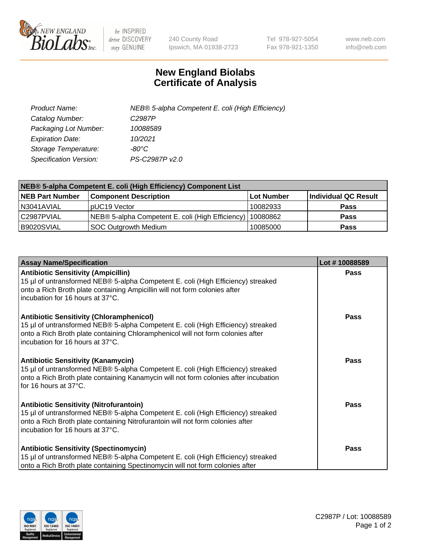

 $be$  INSPIRED drive DISCOVERY stay GENUINE

240 County Road Ipswich, MA 01938-2723 Tel 978-927-5054 Fax 978-921-1350 www.neb.com info@neb.com

## **New England Biolabs Certificate of Analysis**

| Product Name:           | NEB® 5-alpha Competent E. coli (High Efficiency) |
|-------------------------|--------------------------------------------------|
| Catalog Number:         | C <sub>2987</sub> P                              |
| Packaging Lot Number:   | 10088589                                         |
| <b>Expiration Date:</b> | 10/2021                                          |
| Storage Temperature:    | -80°C                                            |
| Specification Version:  | PS-C2987P v2.0                                   |

| NEB® 5-alpha Competent E. coli (High Efficiency) Component List |                                                  |            |                      |  |
|-----------------------------------------------------------------|--------------------------------------------------|------------|----------------------|--|
| <b>NEB Part Number</b>                                          | <b>Component Description</b>                     | Lot Number | Individual QC Result |  |
| N3041AVIAL                                                      | pUC19 Vector                                     | 10082933   | <b>Pass</b>          |  |
| C2987PVIAL                                                      | NEB® 5-alpha Competent E. coli (High Efficiency) | 10080862   | <b>Pass</b>          |  |
| B9020SVIAL                                                      | <b>SOC Outgrowth Medium</b>                      | 10085000   | <b>Pass</b>          |  |

| <b>Assay Name/Specification</b>                                                                                                                                                                                                                            | Lot #10088589 |
|------------------------------------------------------------------------------------------------------------------------------------------------------------------------------------------------------------------------------------------------------------|---------------|
| <b>Antibiotic Sensitivity (Ampicillin)</b><br>15 µl of untransformed NEB® 5-alpha Competent E. coli (High Efficiency) streaked<br>onto a Rich Broth plate containing Ampicillin will not form colonies after<br>incubation for 16 hours at 37°C.           | <b>Pass</b>   |
| <b>Antibiotic Sensitivity (Chloramphenicol)</b><br>15 µl of untransformed NEB® 5-alpha Competent E. coli (High Efficiency) streaked<br>onto a Rich Broth plate containing Chloramphenicol will not form colonies after<br>incubation for 16 hours at 37°C. | Pass          |
| Antibiotic Sensitivity (Kanamycin)<br>15 µl of untransformed NEB® 5-alpha Competent E. coli (High Efficiency) streaked<br>onto a Rich Broth plate containing Kanamycin will not form colonies after incubation<br>for 16 hours at 37°C.                    | Pass          |
| <b>Antibiotic Sensitivity (Nitrofurantoin)</b><br>15 µl of untransformed NEB® 5-alpha Competent E. coli (High Efficiency) streaked<br>onto a Rich Broth plate containing Nitrofurantoin will not form colonies after<br>incubation for 16 hours at 37°C.   | <b>Pass</b>   |
| <b>Antibiotic Sensitivity (Spectinomycin)</b><br>15 µl of untransformed NEB® 5-alpha Competent E. coli (High Efficiency) streaked<br>onto a Rich Broth plate containing Spectinomycin will not form colonies after                                         | Pass          |